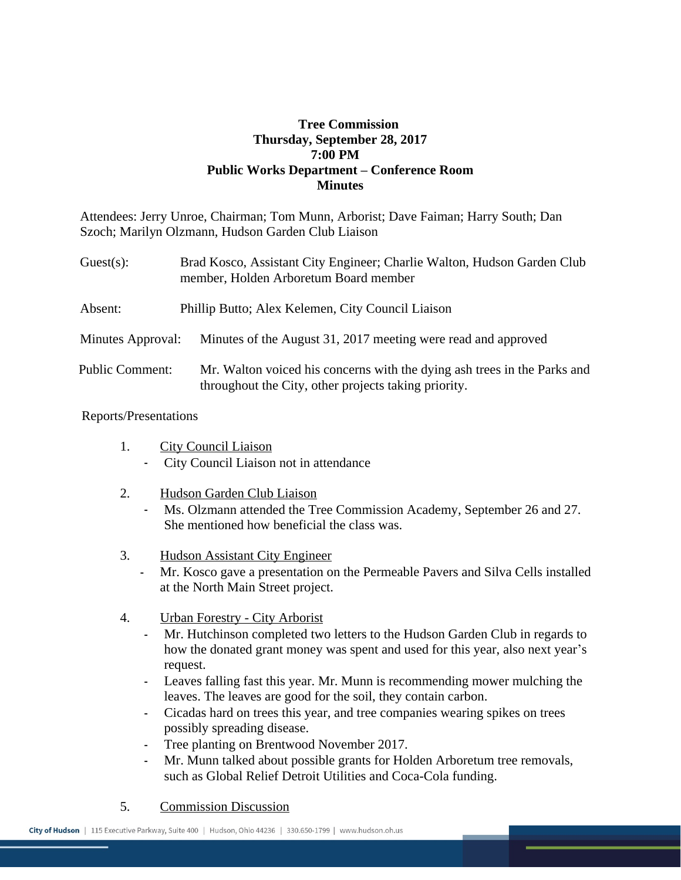## **Tree Commission Thursday, September 28, 2017 7:00 PM Public Works Department – Conference Room Minutes**

Attendees: Jerry Unroe, Chairman; Tom Munn, Arborist; Dave Faiman; Harry South; Dan Szoch; Marilyn Olzmann, Hudson Garden Club Liaison

| $Guest(s)$ :           | Brad Kosco, Assistant City Engineer; Charlie Walton, Hudson Garden Club<br>member, Holden Arboretum Board member                 |
|------------------------|----------------------------------------------------------------------------------------------------------------------------------|
| Absent:                | Phillip Butto; Alex Kelemen, City Council Liaison                                                                                |
| Minutes Approval:      | Minutes of the August 31, 2017 meeting were read and approved                                                                    |
| <b>Public Comment:</b> | Mr. Walton voiced his concerns with the dying ash trees in the Parks and<br>throughout the City, other projects taking priority. |

## Reports/Presentations

- 1. City Council Liaison - City Council Liaison not in attendance
- 2. Hudson Garden Club Liaison - Ms. Olzmann attended the Tree Commission Academy, September 26 and 27. She mentioned how beneficial the class was.
- 3. Hudson Assistant City Engineer
	- Mr. Kosco gave a presentation on the Permeable Pavers and Silva Cells installed at the North Main Street project.
- 4. Urban Forestry City Arborist
	- Mr. Hutchinson completed two letters to the Hudson Garden Club in regards to how the donated grant money was spent and used for this year, also next year's request.
	- Leaves falling fast this year. Mr. Munn is recommending mower mulching the leaves. The leaves are good for the soil, they contain carbon.
	- Cicadas hard on trees this year, and tree companies wearing spikes on trees possibly spreading disease.
	- Tree planting on Brentwood November 2017.
	- Mr. Munn talked about possible grants for Holden Arboretum tree removals, such as Global Relief Detroit Utilities and Coca-Cola funding.
- 5. Commission Discussion